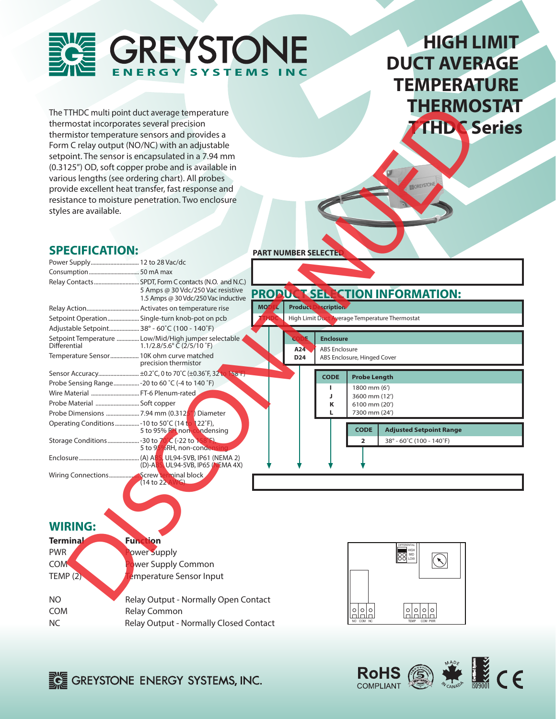

## **HIGH LIMIT DUCT AVERAGE TEMPERATURE THERMOSTAT TTHDC Series**

## **SPECIFICATION:**

|                              | The TTHDC multi point duct average temperature                                  |                             |                                                |                             | <b>THERMOSTAT</b>                     |                    |
|------------------------------|---------------------------------------------------------------------------------|-----------------------------|------------------------------------------------|-----------------------------|---------------------------------------|--------------------|
|                              | thermostat incorporates several precision                                       |                             |                                                |                             |                                       |                    |
|                              | thermistor temperature sensors and provides a                                   |                             |                                                |                             |                                       | <b>THDC Series</b> |
|                              | Form C relay output (NO/NC) with an adjustable                                  |                             |                                                |                             |                                       |                    |
|                              | setpoint. The sensor is encapsulated in a 7.94 mm                               |                             |                                                |                             |                                       |                    |
|                              | (0.3125") OD, soft copper probe and is available in                             |                             |                                                |                             |                                       |                    |
|                              | various lengths (see ordering chart). All probes                                |                             |                                                |                             |                                       |                    |
|                              | provide excellent heat transfer, fast response and                              |                             |                                                |                             |                                       |                    |
|                              | resistance to moisture penetration. Two enclosure                               |                             |                                                |                             |                                       |                    |
|                              |                                                                                 |                             |                                                |                             |                                       |                    |
| styles are available.        |                                                                                 |                             |                                                |                             |                                       |                    |
|                              |                                                                                 |                             |                                                |                             |                                       |                    |
|                              |                                                                                 |                             |                                                |                             |                                       |                    |
| <b>SPECIFICATION:</b>        |                                                                                 | <b>PART NUMBER SELECTEL</b> |                                                |                             |                                       |                    |
| Power Supply 12 to 28 Vac/dc |                                                                                 |                             |                                                |                             |                                       |                    |
|                              |                                                                                 |                             |                                                |                             |                                       |                    |
|                              |                                                                                 |                             |                                                |                             |                                       |                    |
|                              | 5 Amps @ 30 Vdc/250 Vac resistive<br>1.5 Amps @ 30 Vdc/250 Vac inductive        |                             |                                                |                             | PROPUCTSEL CTION INFORMATION:         |                    |
|                              |                                                                                 | <b>MOD</b>                  | Product Description                            |                             |                                       |                    |
|                              | Setpoint Operation Single-turn knob-pot on pcb                                  |                             | High Limit Duct Average Temperature Thermostat |                             |                                       |                    |
|                              | Adjustable Setpoint 38° - 60°C (100 - 140°F)                                    |                             |                                                |                             |                                       |                    |
|                              | Setpoint Temperature  Low/Mid/High jumper selectable                            |                             | <b>Enclosure</b>                               |                             |                                       |                    |
| Differential                 | 1.1/2.8/5.6 $^{\circ}$ C (2/5/10 $^{\circ}$ F)                                  | A24                         | <b>ABS Enclosure</b>                           |                             |                                       |                    |
|                              | Temperature Sensor 10K ohm curve matched<br>precision thermistor                | D <sub>24</sub>             |                                                | ABS Enclosure, Hinged Cover |                                       |                    |
|                              | Sensor Accuracy ±0.2°C, 0 to 70°C (±0.36°F, 32 <sup>to</sup><br>501             |                             | <b>CODE</b>                                    | <b>Probe Length</b>         |                                       |                    |
|                              | Probe Sensing Range - 20 to 60 °C (-4 to 140 °F)                                |                             | п                                              | 1800 mm (6')                |                                       |                    |
|                              | Wire Material  FT-6 Plenum-rated                                                |                             | J                                              | 3600 mm (12')               |                                       |                    |
| Probe Material  Soft copper  |                                                                                 |                             | Κ<br>L                                         | 6100 mm (20')               |                                       |                    |
|                              | Probe Dimensions 7.94 mm (0.3125") Diameter                                     |                             |                                                | 7300 mm (24')               |                                       |                    |
|                              | Operating Conditions  - 10 to 50°C (14 to 122°F),<br>5 to 95% PH non-condensing |                             |                                                | <b>CODE</b>                 | <b>Adjusted Setpoint Range</b>        |                    |
|                              | 5 to 95%RH, non-condensing                                                      |                             |                                                | $\overline{2}$              | 38° - 60°C (100 - 140°F)              |                    |
|                              | UL94-5VB, IP61 (NEMA 2)<br>(D)-ABS UL94-5VB, IP65 (NEMA 4X)                     |                             |                                                |                             |                                       |                    |
|                              |                                                                                 |                             |                                                |                             |                                       |                    |
|                              | (14 to 22 AV)                                                                   |                             |                                                |                             |                                       |                    |
|                              |                                                                                 |                             |                                                |                             |                                       |                    |
|                              |                                                                                 |                             |                                                |                             |                                       |                    |
| <b>WIRING:</b>               |                                                                                 |                             |                                                |                             |                                       |                    |
|                              |                                                                                 |                             |                                                |                             |                                       |                    |
| <b>Terminal</b>              | Function                                                                        |                             |                                                |                             |                                       |                    |
| PWR                          | ower Supply                                                                     |                             |                                                |                             | <b>SO MID</b><br>NO MID               |                    |
| <b>COM</b>                   | wer Supply Common                                                               |                             |                                                |                             |                                       |                    |
| TEMP $(2)$                   | emperature Sensor Input                                                         |                             |                                                |                             |                                       |                    |
|                              |                                                                                 |                             |                                                |                             |                                       |                    |
| NO                           | Relay Output - Normally Open Contact                                            |                             |                                                |                             |                                       |                    |
| <b>COM</b>                   | <b>Relay Common</b>                                                             |                             |                                                | $\circ$   0<br>ololo        | 0 0 <br>$\circ$   $\circ$<br>lalalala |                    |
| NC                           | Relay Output - Normally Closed Contact                                          |                             |                                                | NO COM NC                   | COM PWR<br>TEMP                       |                    |